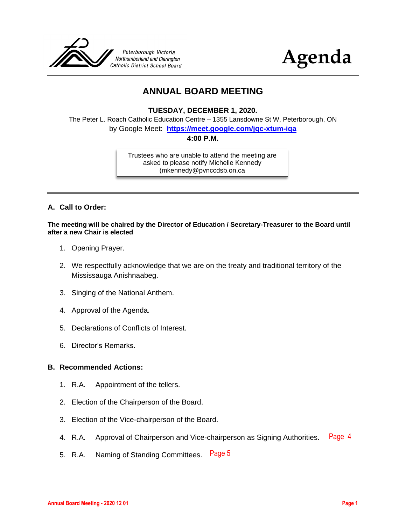



## **ANNUAL BOARD MEETING**

**TUESDAY, DECEMBER 1, 2020.**

The Peter L. Roach Catholic Education Centre – 1355 Lansdowne St W, Peterborough, ON by Google Meet: **<https://meet.google.com/jqc-xtum-iqa>**

**4:00 P.M.**

Trustees who are unable to attend the meeting are asked to please notify Michelle Kennedy (mkennedy@pvnccdsb.on.ca

#### **A. Call to Order:**

**The meeting will be chaired by the Director of Education / Secretary-Treasurer to the Board until after a new Chair is elected**

- 1. Opening Prayer.
- 2. We respectfully acknowledge that we are on the treaty and traditional territory of the Mississauga Anishnaabeg.
- 3. Singing of the National Anthem.
- 4. Approval of the Agenda.
- 5. Declarations of Conflicts of Interest.
- 6. Director's Remarks.

#### **B. Recommended Actions:**

- 1. R.A. Appointment of the tellers.
- 2. Election of the Chairperson of the Board.
- 3. Election of the Vice-chairperson of the Board.
- 4. R.A. Approval of Chairperson and Vice-chairperson as Signing Authorities. [Page 4](#page-3-0)
- 5. R.A. Naming of Standing Committees. [Page 5](#page-4-0)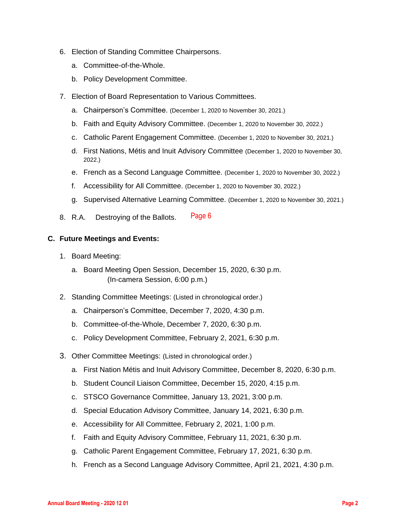- 6. Election of Standing Committee Chairpersons.
	- a. Committee-of-the-Whole.
	- b. Policy Development Committee.
- 7. Election of Board Representation to Various Committees.
	- a. Chairperson's Committee. (December 1, 2020 to November 30, 2021.)
	- b. Faith and Equity Advisory Committee. (December 1, 2020 to November 30, 2022.)
	- c. Catholic Parent Engagement Committee. (December 1, 2020 to November 30, 2021.)
	- d. First Nations, Métis and Inuit Advisory Committee (December 1, 2020 to November 30, 2022.)
	- e. French as a Second Language Committee. (December 1, 2020 to November 30, 2022.)
	- f. Accessibility for All Committee. (December 1, 2020 to November 30, 2022.)
	- g. Supervised Alternative Learning Committee. (December 1, 2020 to November 30, 2021.)
- 8. R.A. Destroying of the Ballots. [Page 6](#page-5-0)

#### **C. Future Meetings and Events:**

- 1. Board Meeting:
	- a. Board Meeting Open Session, December 15, 2020, 6:30 p.m. (In-camera Session, 6:00 p.m.)
- 2. Standing Committee Meetings: (Listed in chronological order.)
	- a. Chairperson's Committee, December 7, 2020, 4:30 p.m.
	- b. Committee-of-the-Whole, December 7, 2020, 6:30 p.m.
	- c. Policy Development Committee, February 2, 2021, 6:30 p.m.
- 3. Other Committee Meetings: (Listed in chronological order.)
	- a. First Nation Métis and Inuit Advisory Committee, December 8, 2020, 6:30 p.m.
	- b. Student Council Liaison Committee, December 15, 2020, 4:15 p.m.
	- c. STSCO Governance Committee, January 13, 2021, 3:00 p.m.
	- d. Special Education Advisory Committee, January 14, 2021, 6:30 p.m.
	- e. Accessibility for All Committee, February 2, 2021, 1:00 p.m.
	- f. Faith and Equity Advisory Committee, February 11, 2021, 6:30 p.m.
	- g. Catholic Parent Engagement Committee, February 17, 2021, 6:30 p.m.
	- h. French as a Second Language Advisory Committee, April 21, 2021, 4:30 p.m.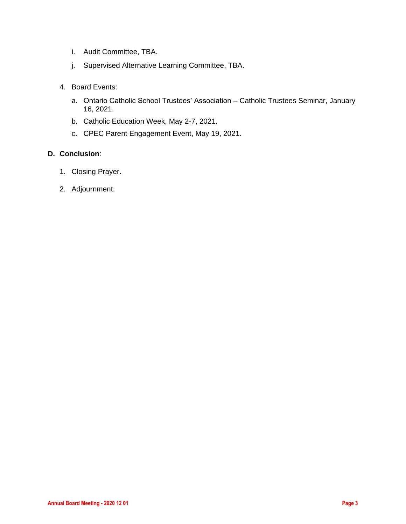- i. Audit Committee, TBA.
- j. Supervised Alternative Learning Committee, TBA.
- 4. Board Events:
	- a. Ontario Catholic School Trustees' Association Catholic Trustees Seminar, January 16, 2021.
	- b. Catholic Education Week, May 2-7, 2021.
	- c. CPEC Parent Engagement Event, May 19, 2021.

#### **D. Conclusion**:

- 1. Closing Prayer.
- 2. Adjournment.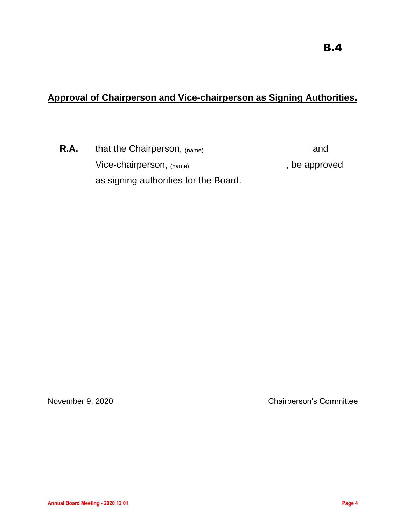# <span id="page-3-0"></span>**Approval of Chairperson and Vice-chairperson as Signing Authorities.**

| R.A. | that the Chairperson, (name)          | and           |
|------|---------------------------------------|---------------|
|      | Vice-chairperson, $_{(name)}$         | , be approved |
|      | as signing authorities for the Board. |               |

November 9, 2020 Chairperson's Committee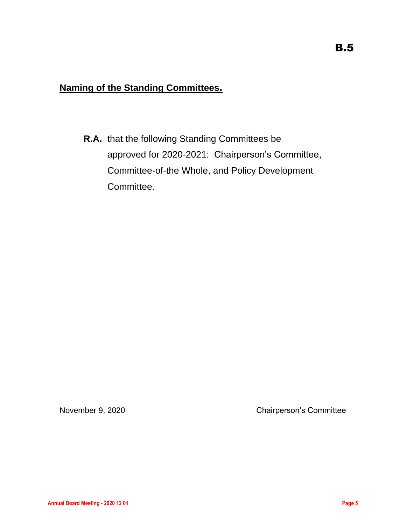# <span id="page-4-0"></span>**Naming of the Standing Committees.**

**R.A.** that the following Standing Committees be approved for 2020-2021: Chairperson's Committee, Committee-of-the Whole, and Policy Development Committee.

November 9, 2020 Chairperson's Committee